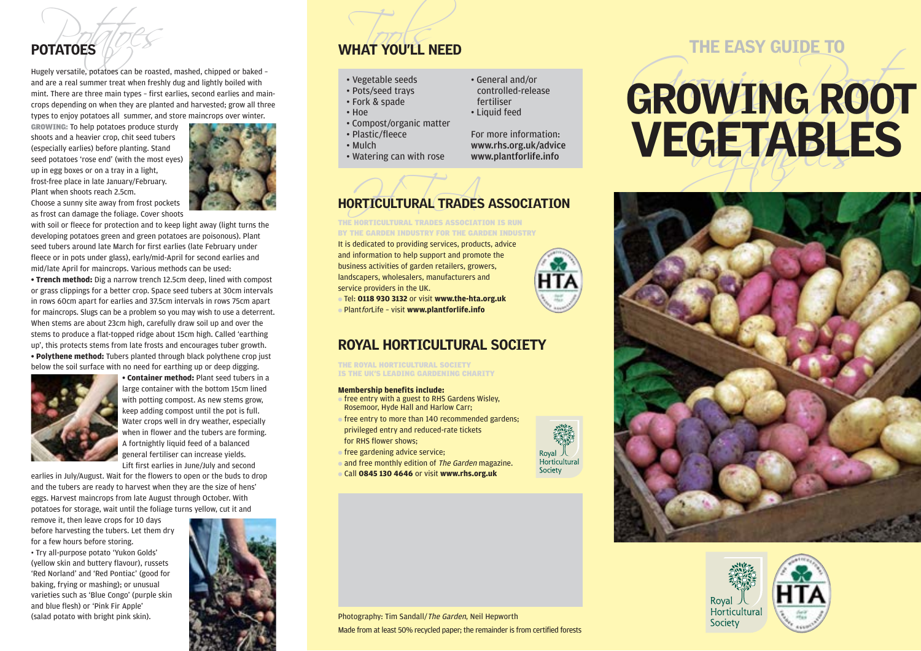

with soil or fleece for protection and to keep light away (light turns the developing potatoes green and green potatoes are poisonous). Plant seed tubers around late March for first earlies (late February under fleece or in pots under glass), early/mid-April for second earlies and

mid/late April for maincrops. Various methods can be used: **• Trench method:** Dig a narrow trench 12.5cm deep, lined with compost or grass clippings for a better crop. Space seed tubers at 30cm intervals in rows 60cm apart for earlies and 37.5cm intervals in rows 75cm apart for maincrops. Slugs can be a problem so you may wish to use a deterrent. When stems are about 23cm high, carefully draw soil up and over the stems to produce a flat-topped ridge about 15cm high. Called 'earthing up', this protects stems from late frosts and encourages tuber growth. **• Polythene method:** Tubers planted through black polythene crop just below the soil surface with no need for earthing up or deep digging.



**• Container method:** Plant seed tubers in a large container with the bottom 15cm lined with potting compost. As new stems grow, keep adding compost until the pot is full. Water crops well in dry weather, especially when in flower and the tubers are forming. A fortnightly liquid feed of a balanced general fertiliser can increase yields. Lift first earlies in June/July and second

earlies in July/August. Wait for the flowers to open or the buds to drop and the tubers are ready to harvest when they are the size of hens' eggs. Harvest maincrops from late August through October. With potatoes for storage, wait until the foliage turns yellow, cut it and

remove it, then leave crops for 10 days before harvesting the tubers. Let them dry for a few hours before storing.

• Try all-purpose potato 'Yukon Golds' (yellow skin and buttery flavour), russets 'Red Norland' and 'Red Pontiac' (good for baking, frying or mashing); or unusual varieties such as 'Blue Congo' (purple skin and blue flesh) or 'Pink Fir Apple' (salad potato with bright pink skin).



# POTATOES **POTATOES**

# • Vegetable seeds

- Pots/seed trays
- Fork & spade
- Hoe
- Compost/organic matter
- Plastic/fleece
- Mulch
- Watering can with rose

## • General and/or controlled-release

- fertiliser
- Liquid feed

For more information: www.rhs.org.uk/advice www.plantforlife.info

# ORTICULTURAL TRADES HORTICULTURAL TRADES ASSOCIATION

THE HORTICULTURAL TRADES ASSOCIATION IS RUN BY THE GARDEN INDUSTRY FOR THE GARDEN INDUSTRY

It is dedicated to providing services, products, advice and information to help support and promote the business activities of garden retailers, growers, landscapers, wholesalers, manufacturers and service providers in the UK.

● Tel: **0118 930 3132** or visit **www.the-hta.org.uk** ● PlantforLife – visit **www.plantforlife.info**

## ROYAL HORTICULTURAL SOCIETY

THE ROYAL HORTICULTURAL SOCIETY IS THE UK'S LEADING GARDENING CHARITY

## **Membership benefits include:**

- $\bullet$  free entry with a guest to RHS Gardens Wisley. Rosemoor, Hyde Hall and Harlow Carr;
- free entry to more than 140 recommended gardens; privileged entry and reduced-rate tickets for RHS flower shows;
- free gardening advice service;
- and free monthly edition of The Garden magazine.
- Call **0845 130 4646** or visit **www.rhs.org.uk**



# THE EASY GUIDE TO FOROWING States and are a real summer treat when freshy due and are a real summer treat when freshy due and are a real summer treat when freshy due and lightly bolied with<br>
mint there are three cases and summer and summer





Photography: Tim Sandall/The Garden, Neil Hepworth Made from at least 50% recycled paper; the remainder is from certified forests

Royal 人<br>Horticultural Society